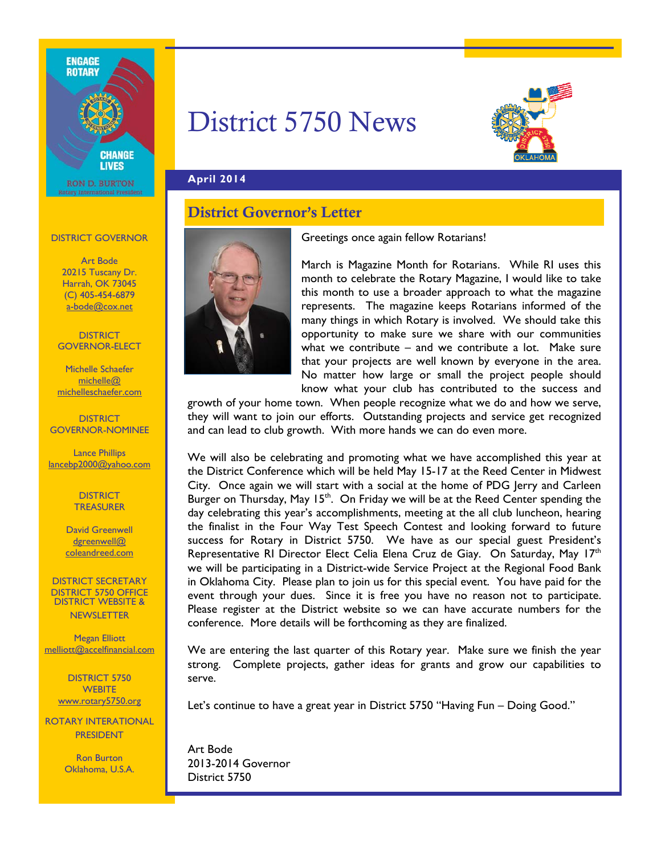# District 5750 News



**April 2014** 

# District Governor's Letter

#### DISTRICT GOVERNOR

**CHANGE LIVES RON D. BURTON** 

**ENGAGE ROTARY** 

Art Bode 20215 Tuscany Dr. Harrah, OK 73045 (C) 405-454-6879 a-bode@cox.net

**DISTRICT** GOVERNOR-ELECT

Michelle Schaefer michelle@ michelleschaefer.com

**DISTRICT** GOVERNOR-NOMINEE

Lance Phillips lancebp2000@yahoo.com

> **DISTRICT TREASURER**

David Greenwell dgreenwell@ coleandreed.com

DISTRICT SECRETARY DISTRICT 5750 OFFICE DISTRICT WEBSITE & **NEWSLETTER** 

Megan Elliott melliott@accelfinancial.com

> DISTRICT 5750 **WEBITE** www.rotary5750.org

ROTARY INTERATIONAL PRESIDENT

> Ron Burton Oklahoma, U.S.A.

Greetings once again fellow Rotarians!

March is Magazine Month for Rotarians. While RI uses this month to celebrate the Rotary Magazine, I would like to take this month to use a broader approach to what the magazine represents. The magazine keeps Rotarians informed of the many things in which Rotary is involved. We should take this opportunity to make sure we share with our communities what we contribute – and we contribute a lot. Make sure that your projects are well known by everyone in the area. No matter how large or small the project people should know what your club has contributed to the success and

growth of your home town. When people recognize what we do and how we serve, they will want to join our efforts. Outstanding projects and service get recognized and can lead to club growth. With more hands we can do even more.

We will also be celebrating and promoting what we have accomplished this year at the District Conference which will be held May 15-17 at the Reed Center in Midwest City. Once again we will start with a social at the home of PDG Jerry and Carleen Burger on Thursday, May  $15<sup>th</sup>$ . On Friday we will be at the Reed Center spending the day celebrating this year's accomplishments, meeting at the all club luncheon, hearing the finalist in the Four Way Test Speech Contest and looking forward to future success for Rotary in District 5750. We have as our special guest President's Representative RI Director Elect Celia Elena Cruz de Giay. On Saturday, May 17<sup>th</sup> we will be participating in a District-wide Service Project at the Regional Food Bank in Oklahoma City. Please plan to join us for this special event. You have paid for the event through your dues. Since it is free you have no reason not to participate. Please register at the District website so we can have accurate numbers for the conference. More details will be forthcoming as they are finalized.

We are entering the last quarter of this Rotary year. Make sure we finish the year strong. Complete projects, gather ideas for grants and grow our capabilities to serve.

Let's continue to have a great year in District 5750 "Having Fun – Doing Good."

Art Bode 2013-2014 Governor District 5750

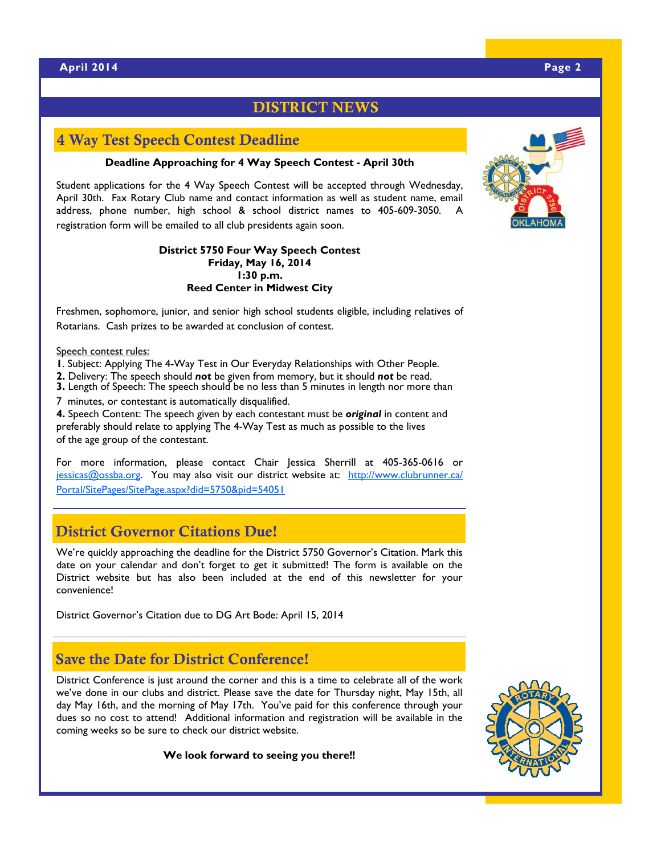#### DISTRICT NEWS

#### 4 Way Test Speech Contest Deadline

#### **Deadline Approaching for 4 Way Speech Contest - April 30th**

Student applications for the 4 Way Speech Contest will be accepted through Wednesday, April 30th. Fax Rotary Club name and contact information as well as student name, email address, phone number, high school & school district names to 405-609-3050. A registration form will be emailed to all club presidents again soon.

#### **District 5750 Four Way Speech Contest Friday, May 16, 2014 1:30 p.m. Reed Center in Midwest City**

Freshmen, sophomore, junior, and senior high school students eligible, including relatives of Rotarians. Cash prizes to be awarded at conclusion of contest.

#### Speech contest rules:

- **1**. Subject: Applying The 4-Way Test in Our Everyday Relationships with Other People.
- **2.** Delivery: The speech should *not* be given from memory, but it should *not* be read.
- **3.** Length of Speech: The speech should be no less than 5 minutes in length nor more than
- 7 minutes, or contestant is automatically disqualified.

**4.** Speech Content: The speech given by each contestant must be *original* in content and preferably should relate to applying The 4-Way Test as much as possible to the lives of the age group of the contestant.

For more information, please contact Chair Jessica Sherrill at 405-365-0616 or jessicas@ossba.org. You may also visit our district website at: http://www.clubrunner.ca/ Portal/SitePages/SitePage.aspx?did=5750&pid=54051

### District Governor Citations Due!

We're quickly approaching the deadline for the District 5750 Governor's Citation. Mark this date on your calendar and don't forget to get it submitted! The form is available on the District website but has also been included at the end of this newsletter for your convenience!

District Governor's Citation due to DG Art Bode: April 15, 2014

# Save the Date for District Conference!

District Conference is just around the corner and this is a time to celebrate all of the work we've done in our clubs and district. Please save the date for Thursday night, May 15th, all day May 16th, and the morning of May 17th. You've paid for this conference through your dues so no cost to attend! Additional information and registration will be available in the coming weeks so be sure to check our district website.

**We look forward to seeing you there!!** 



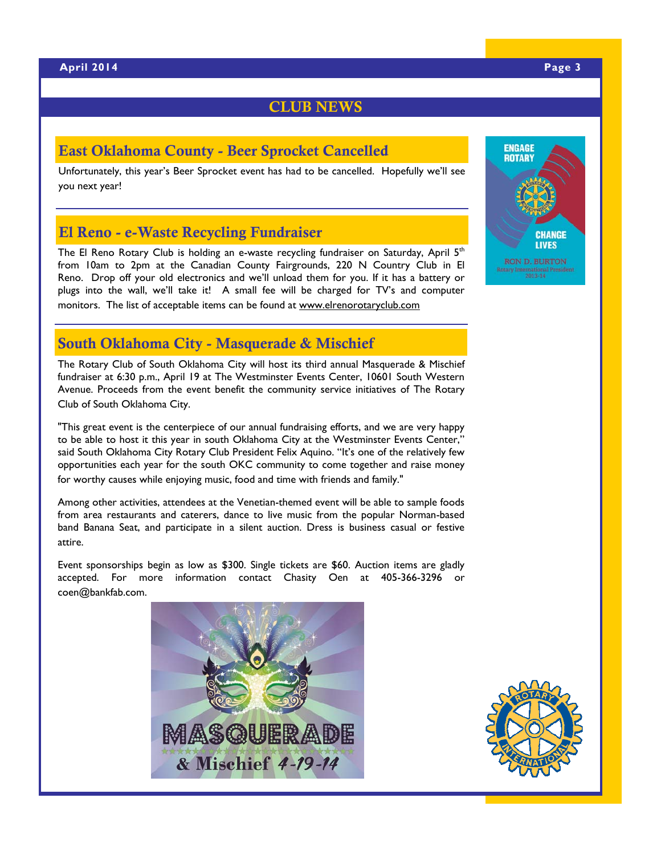### CLUB NEWS

#### East Oklahoma County - Beer Sprocket Cancelled

Unfortunately, this year's Beer Sprocket event has had to be cancelled. Hopefully we'll see you next year!

#### El Reno - e-Waste Recycling Fundraiser

The El Reno Rotary Club is holding an e-waste recycling fundraiser on Saturday, April  $5<sup>th</sup>$ from 10am to 2pm at the Canadian County Fairgrounds, 220 N Country Club in El Reno. Drop off your old electronics and we'll unload them for you. If it has a battery or plugs into the wall, we'll take it! A small fee will be charged for TV's and computer monitors. The list of acceptable items can be found at www.elrenorotaryclub.com

### South Oklahoma City - Masquerade & Mischief

The Rotary Club of South Oklahoma City will host its third annual Masquerade & Mischief fundraiser at 6:30 p.m., April 19 at The Westminster Events Center, 10601 South Western Avenue. Proceeds from the event benefit the community service initiatives of The Rotary Club of South Oklahoma City.

"This great event is the centerpiece of our annual fundraising efforts, and we are very happy to be able to host it this year in south Oklahoma City at the Westminster Events Center," said South Oklahoma City Rotary Club President Felix Aquino. "It's one of the relatively few opportunities each year for the south OKC community to come together and raise money for worthy causes while enjoying music, food and time with friends and family."

Among other activities, attendees at the Venetian-themed event will be able to sample foods from area restaurants and caterers, dance to live music from the popular Norman-based band Banana Seat, and participate in a silent auction. Dress is business casual or festive attire.

Event sponsorships begin as low as \$300. Single tickets are \$60. Auction items are gladly accepted. For more information contact Chasity Oen at 405-366-3296 or coen@bankfab.com.





**RON D. BURTON** 



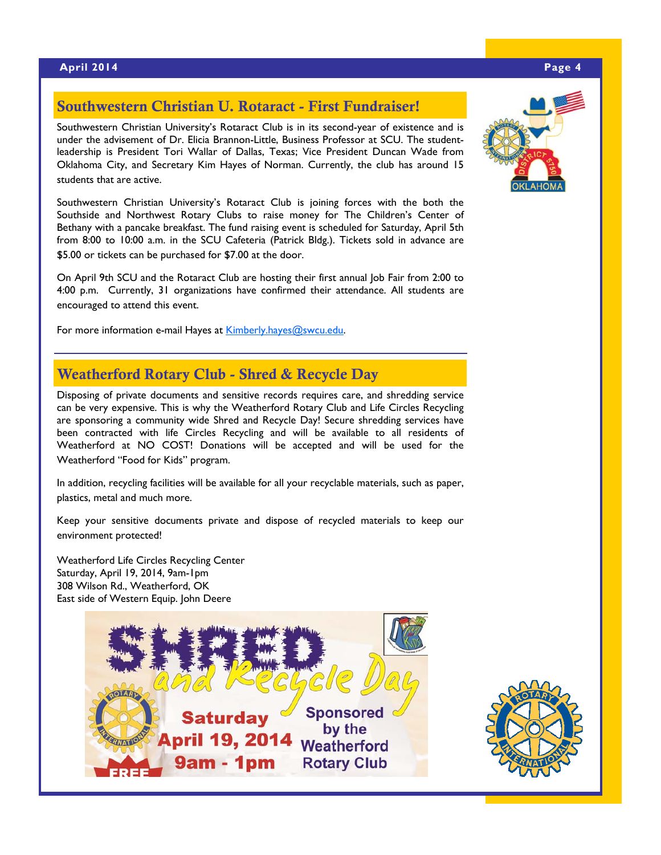# Southwestern Christian U. Rotaract - First Fundraiser!

Southwestern Christian University's Rotaract Club is in its second-year of existence and is under the advisement of Dr. Elicia Brannon-Little, Business Professor at SCU. The studentleadership is President Tori Wallar of Dallas, Texas; Vice President Duncan Wade from Oklahoma City, and Secretary Kim Hayes of Norman. Currently, the club has around 15 students that are active.

Southwestern Christian University's Rotaract Club is joining forces with the both the Southside and Northwest Rotary Clubs to raise money for The Children's Center of Bethany with a pancake breakfast. The fund raising event is scheduled for Saturday, April 5th from 8:00 to 10:00 a.m. in the SCU Cafeteria (Patrick Bldg.). Tickets sold in advance are \$5.00 or tickets can be purchased for \$7.00 at the door.

On April 9th SCU and the Rotaract Club are hosting their first annual Job Fair from 2:00 to 4:00 p.m. Currently, 31 organizations have confirmed their attendance. All students are encouraged to attend this event.

For more information e-mail Hayes at Kimberly.hayes@swcu.edu.

# Weatherford Rotary Club - Shred & Recycle Day

Disposing of private documents and sensitive records requires care, and shredding service can be very expensive. This is why the Weatherford Rotary Club and Life Circles Recycling are sponsoring a community wide Shred and Recycle Day! Secure shredding services have been contracted with life Circles Recycling and will be available to all residents of Weatherford at NO COST! Donations will be accepted and will be used for the Weatherford "Food for Kids" program.

In addition, recycling facilities will be available for all your recyclable materials, such as paper, plastics, metal and much more.

Keep your sensitive documents private and dispose of recycled materials to keep our environment protected!

Weatherford Life Circles Recycling Center Saturday, April 19, 2014, 9am-1pm 308 Wilson Rd., Weatherford, OK East side of Western Equip. John Deere





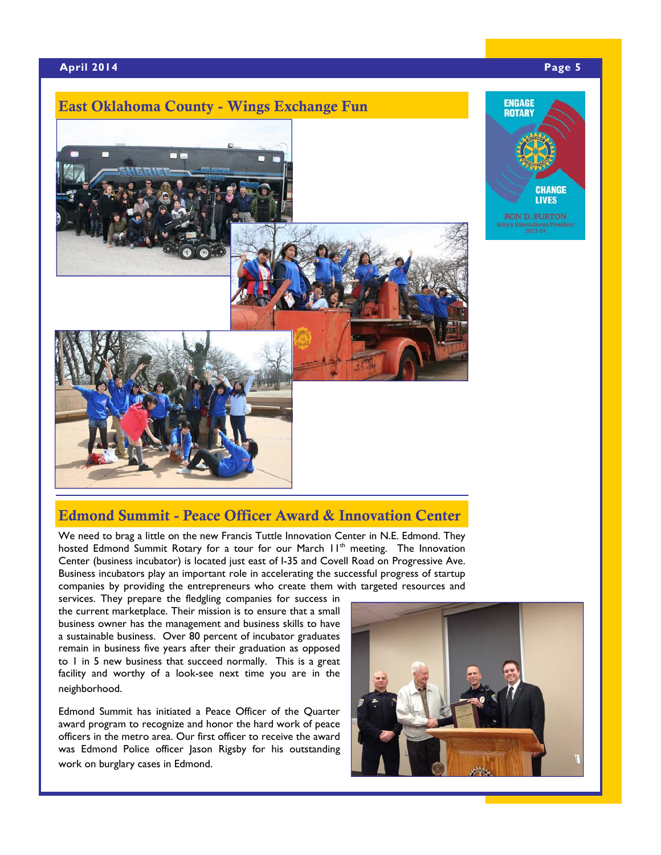#### **April 2014 Page 5**

# East Oklahoma County - Wings Exchange Fun





# Edmond Summit - Peace Officer Award & Innovation Center

We need to brag a little on the new Francis Tuttle Innovation Center in N.E. Edmond. They hosted Edmond Summit Rotary for a tour for our March  $11<sup>th</sup>$  meeting. The Innovation Center (business incubator) is located just east of I-35 and Covell Road on Progressive Ave. Business incubators play an important role in accelerating the successful progress of startup companies by providing the entrepreneurs who create them with targeted resources and

services. They prepare the fledgling companies for success in the current marketplace. Their mission is to ensure that a small business owner has the management and business skills to have a sustainable business. Over 80 percent of incubator graduates remain in business five years after their graduation as opposed to 1 in 5 new business that succeed normally. This is a great facility and worthy of a look-see next time you are in the neighborhood.

Edmond Summit has initiated a Peace Officer of the Quarter award program to recognize and honor the hard work of peace officers in the metro area. Our first officer to receive the award was Edmond Police officer Jason Rigsby for his outstanding work on burglary cases in Edmond.

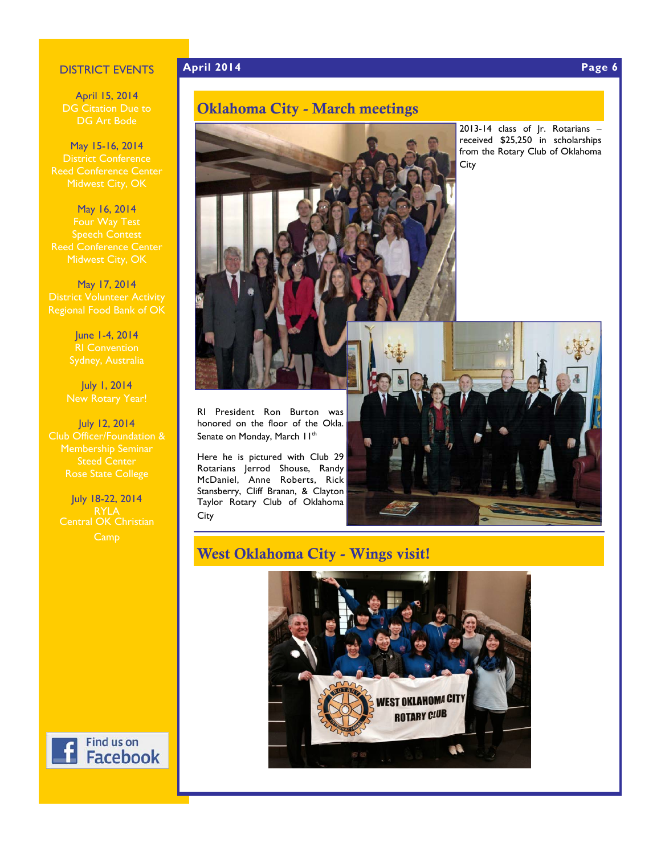#### DISTRICT EVENTS

April 15, 2014 DG Citation Due to DG Art Bode

May 15-16, 2014 District Conference Reed Conference Center

May 16, 2014 Four Way Test

May 17, 2014 Regional Food Bank of OK

> June 1-4, 2014 RI Convention

July 1, 2014 New Rotary Year!

July 12, 2014 Club Officer/Foundation &

July 18-22, 2014 RYLA Central OK Christian

> Find us on **Facebook**





Here he is pictured with Club 29 Rotarians Jerrod Shouse, Randy McDaniel, Anne Roberts, Rick Stansberry, Cliff Branan, & Clayton Taylor Rotary Club of Oklahoma **City** 

#### 2013-14 class of Jr. Rotarians – received \$25,250 in scholarships from the Rotary Club of Oklahoma **City**



West Oklahoma City - Wings visit!



#### **April 2014 Page 6**